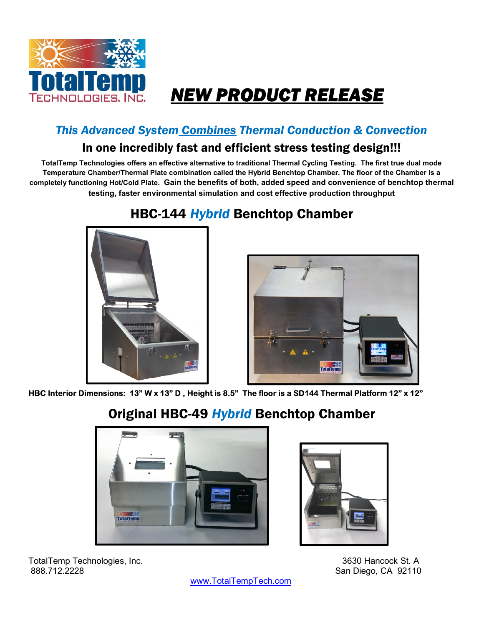

# NEW PRODUCT RELEASE

#### This Advanced System Combines Thermal Conduction & Convection

#### In one incredibly fast and efficient stress testing design!!!

TotalTemp Technologies offers an effective alternative to traditional Thermal Cycling Testing. The first true dual mode Temperature Chamber/Thermal Plate combination called the Hybrid Benchtop Chamber. The floor of the Chamber is a completely functioning Hot/Cold Plate. Gain the benefits of both, added speed and convenience of benchtop thermal testing, faster environmental simulation and cost effective production throughput

### HBC-144 Hybrid Benchtop Chamber





HBC Interior Dimensions: 13" W x 13" D , Height is 8.5" The floor is a SD144 Thermal Platform 12" x 12"

#### Original HBC-49 Hybrid Benchtop Chamber





TotalTemp Technologies, Inc. 3630 Hancock St. A 888.712.2228 San Diego, CA 92110

www.TotalTempTech.com